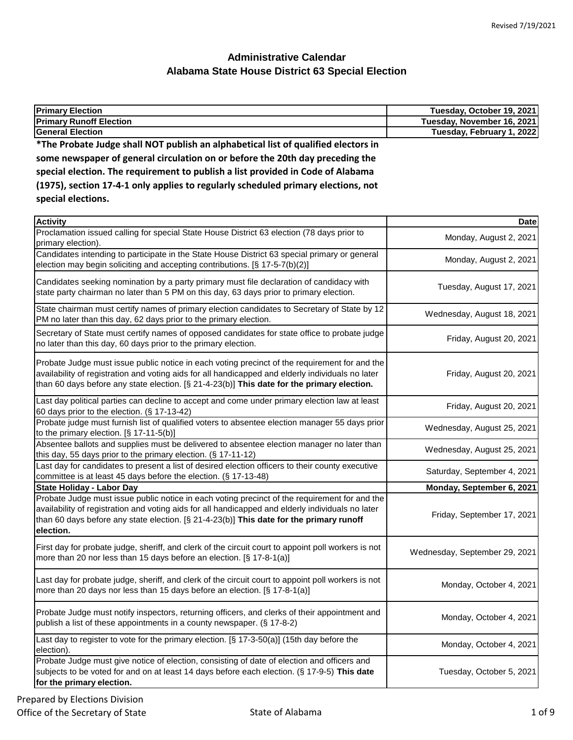| <b>Primary Election</b>                                                            | Tuesday, October 19, 2021  |
|------------------------------------------------------------------------------------|----------------------------|
| <b>Primary Runoff Election</b>                                                     | Tuesday, November 16, 2021 |
| <b>General Election</b>                                                            | Tuesday, February 1, 2022  |
| *The Probate Judge shall NOT publish an alphabetical list of qualified electors in |                            |
| some newspaper of general circulation on or before the 20th day preceding the      |                            |
| special election. The requirement to publish a list provided in Code of Alabama    |                            |
| (1975), section 17-4-1 only applies to regularly scheduled primary elections, not  |                            |

**special elections.**

| <b>Activity</b>                                                                                                                                                                                                                                                                                            | <b>Date</b>                   |
|------------------------------------------------------------------------------------------------------------------------------------------------------------------------------------------------------------------------------------------------------------------------------------------------------------|-------------------------------|
| Proclamation issued calling for special State House District 63 election (78 days prior to<br>primary election).                                                                                                                                                                                           | Monday, August 2, 2021        |
| Candidates intending to participate in the State House District 63 special primary or general<br>election may begin soliciting and accepting contributions. [§ 17-5-7(b)(2)]                                                                                                                               | Monday, August 2, 2021        |
| Candidates seeking nomination by a party primary must file declaration of candidacy with<br>state party chairman no later than 5 PM on this day, 63 days prior to primary election.                                                                                                                        | Tuesday, August 17, 2021      |
| State chairman must certify names of primary election candidates to Secretary of State by 12<br>PM no later than this day, 62 days prior to the primary election.                                                                                                                                          | Wednesday, August 18, 2021    |
| Secretary of State must certify names of opposed candidates for state office to probate judge<br>no later than this day, 60 days prior to the primary election.                                                                                                                                            | Friday, August 20, 2021       |
| Probate Judge must issue public notice in each voting precinct of the requirement for and the<br>availability of registration and voting aids for all handicapped and elderly individuals no later<br>than 60 days before any state election. [§ 21-4-23(b)] This date for the primary election.           | Friday, August 20, 2021       |
| Last day political parties can decline to accept and come under primary election law at least<br>60 days prior to the election. (§ 17-13-42)                                                                                                                                                               | Friday, August 20, 2021       |
| Probate judge must furnish list of qualified voters to absentee election manager 55 days prior<br>to the primary election. $[\S 17-11-5(b)]$                                                                                                                                                               | Wednesday, August 25, 2021    |
| Absentee ballots and supplies must be delivered to absentee election manager no later than<br>this day, 55 days prior to the primary election. (§ 17-11-12)                                                                                                                                                | Wednesday, August 25, 2021    |
| Last day for candidates to present a list of desired election officers to their county executive<br>committee is at least 45 days before the election. (§ 17-13-48)                                                                                                                                        | Saturday, September 4, 2021   |
| <b>State Holiday - Labor Day</b>                                                                                                                                                                                                                                                                           | Monday, September 6, 2021     |
| Probate Judge must issue public notice in each voting precinct of the requirement for and the<br>availability of registration and voting aids for all handicapped and elderly individuals no later<br>than 60 days before any state election. [§ 21-4-23(b)] This date for the primary runoff<br>election. | Friday, September 17, 2021    |
| First day for probate judge, sheriff, and clerk of the circuit court to appoint poll workers is not<br>more than 20 nor less than 15 days before an election. [§ 17-8-1(a)]                                                                                                                                | Wednesday, September 29, 2021 |
| Last day for probate judge, sheriff, and clerk of the circuit court to appoint poll workers is not<br>more than 20 days nor less than 15 days before an election. [§ 17-8-1(a)]                                                                                                                            | Monday, October 4, 2021       |
| Probate Judge must notify inspectors, returning officers, and clerks of their appointment and<br>publish a list of these appointments in a county newspaper. (§ 17-8-2)                                                                                                                                    | Monday, October 4, 2021       |
| Last day to register to vote for the primary election. [§ 17-3-50(a)] (15th day before the<br>election).                                                                                                                                                                                                   | Monday, October 4, 2021       |
| Probate Judge must give notice of election, consisting of date of election and officers and<br>subjects to be voted for and on at least 14 days before each election. (§ 17-9-5) This date<br>for the primary election.                                                                                    | Tuesday, October 5, 2021      |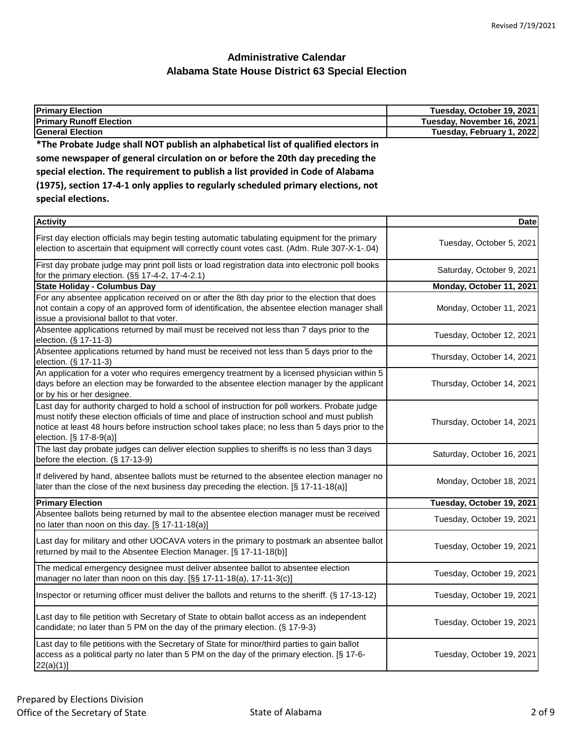| Tuesday, October 19, 2021  |
|----------------------------|
| Tuesday, November 16, 2021 |
| Tuesday, February 1, 2022  |
|                            |
|                            |
|                            |
|                            |
|                            |
|                            |

| <b>Activity</b>                                                                                                                                                                                                                                                                                                                | <b>Date</b>                |
|--------------------------------------------------------------------------------------------------------------------------------------------------------------------------------------------------------------------------------------------------------------------------------------------------------------------------------|----------------------------|
| First day election officials may begin testing automatic tabulating equipment for the primary<br>election to ascertain that equipment will correctly count votes cast. (Adm. Rule 307-X-1-.04)                                                                                                                                 | Tuesday, October 5, 2021   |
| First day probate judge may print poll lists or load registration data into electronic poll books<br>for the primary election. (§§ 17-4-2, 17-4-2.1)                                                                                                                                                                           | Saturday, October 9, 2021  |
| <b>State Holiday - Columbus Day</b>                                                                                                                                                                                                                                                                                            | Monday, October 11, 2021   |
| For any absentee application received on or after the 8th day prior to the election that does<br>not contain a copy of an approved form of identification, the absentee election manager shall<br>issue a provisional ballot to that voter.                                                                                    | Monday, October 11, 2021   |
| Absentee applications returned by mail must be received not less than 7 days prior to the<br>election. (§ 17-11-3)                                                                                                                                                                                                             | Tuesday, October 12, 2021  |
| Absentee applications returned by hand must be received not less than 5 days prior to the<br>election. (§ 17-11-3)                                                                                                                                                                                                             | Thursday, October 14, 2021 |
| An application for a voter who requires emergency treatment by a licensed physician within 5<br>days before an election may be forwarded to the absentee election manager by the applicant<br>or by his or her designee.                                                                                                       | Thursday, October 14, 2021 |
| Last day for authority charged to hold a school of instruction for poll workers. Probate judge<br>must notify these election officials of time and place of instruction school and must publish<br>notice at least 48 hours before instruction school takes place; no less than 5 days prior to the<br>election. [§ 17-8-9(a)] | Thursday, October 14, 2021 |
| The last day probate judges can deliver election supplies to sheriffs is no less than 3 days<br>before the election. (§ 17-13-9)                                                                                                                                                                                               | Saturday, October 16, 2021 |
| If delivered by hand, absentee ballots must be returned to the absentee election manager no<br>later than the close of the next business day preceding the election. [§ 17-11-18(a)]                                                                                                                                           | Monday, October 18, 2021   |
| <b>Primary Election</b>                                                                                                                                                                                                                                                                                                        | Tuesday, October 19, 2021  |
| Absentee ballots being returned by mail to the absentee election manager must be received<br>no later than noon on this day. [§ 17-11-18(a)]                                                                                                                                                                                   | Tuesday, October 19, 2021  |
| Last day for military and other UOCAVA voters in the primary to postmark an absentee ballot<br>returned by mail to the Absentee Election Manager. [§ 17-11-18(b)]                                                                                                                                                              | Tuesday, October 19, 2021  |
| The medical emergency designee must deliver absentee ballot to absentee election<br>manager no later than noon on this day. [§§ 17-11-18(a), 17-11-3(c)]                                                                                                                                                                       | Tuesday, October 19, 2021  |
| Inspector or returning officer must deliver the ballots and returns to the sheriff. (§ 17-13-12)                                                                                                                                                                                                                               | Tuesday, October 19, 2021  |
| Last day to file petition with Secretary of State to obtain ballot access as an independent<br>candidate; no later than 5 PM on the day of the primary election. (§ 17-9-3)                                                                                                                                                    | Tuesday, October 19, 2021  |
| Last day to file petitions with the Secretary of State for minor/third parties to gain ballot<br>access as a political party no later than 5 PM on the day of the primary election. [§ 17-6-<br>$22(a)(1)$ ]                                                                                                                   | Tuesday, October 19, 2021  |
|                                                                                                                                                                                                                                                                                                                                |                            |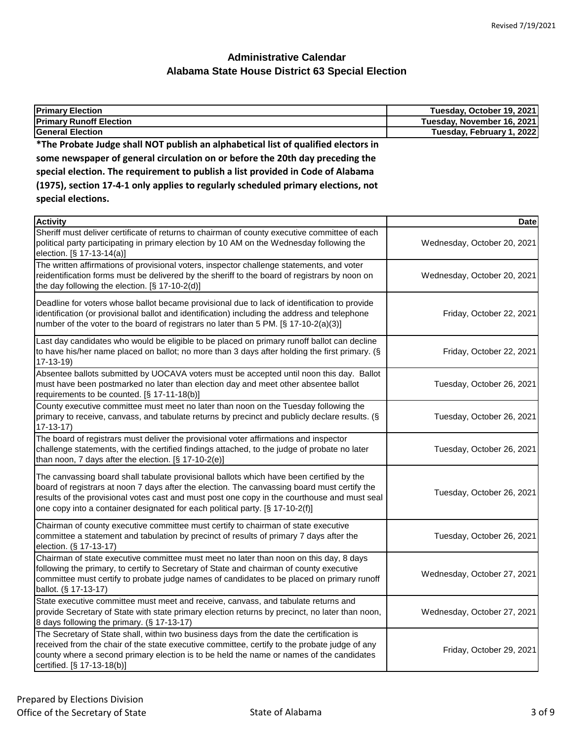| <b>Primary Election</b>                                                                                                                                                                                                                                                                                                                                                   | Tuesday, October 19, 2021   |
|---------------------------------------------------------------------------------------------------------------------------------------------------------------------------------------------------------------------------------------------------------------------------------------------------------------------------------------------------------------------------|-----------------------------|
| <b>Primary Runoff Election</b>                                                                                                                                                                                                                                                                                                                                            | Tuesday, November 16, 2021  |
| <b>General Election</b>                                                                                                                                                                                                                                                                                                                                                   | Tuesday, February 1, 2022   |
| *The Probate Judge shall NOT publish an alphabetical list of qualified electors in                                                                                                                                                                                                                                                                                        |                             |
| some newspaper of general circulation on or before the 20th day preceding the                                                                                                                                                                                                                                                                                             |                             |
| special election. The requirement to publish a list provided in Code of Alabama                                                                                                                                                                                                                                                                                           |                             |
| (1975), section 17-4-1 only applies to regularly scheduled primary elections, not                                                                                                                                                                                                                                                                                         |                             |
| special elections.                                                                                                                                                                                                                                                                                                                                                        |                             |
| <b>Activity</b>                                                                                                                                                                                                                                                                                                                                                           | <b>Date</b>                 |
| Sheriff must deliver certificate of returns to chairman of county executive committee of each<br>political party participating in primary election by 10 AM on the Wednesday following the<br>election. [§ 17-13-14(a)]                                                                                                                                                   | Wednesday, October 20, 2021 |
| The written affirmations of provisional voters, inspector challenge statements, and voter<br>reidentification forms must be delivered by the sheriff to the board of registrars by noon on<br>the day following the election. [§ 17-10-2(d)]                                                                                                                              | Wednesday, October 20, 2021 |
| Deadline for voters whose ballot became provisional due to lack of identification to provide<br>identification (or provisional ballot and identification) including the address and telephone<br>number of the voter to the board of registrars no later than 5 PM. [§ 17-10-2(a)(3)]                                                                                     | Friday, October 22, 2021    |
| Last day candidates who would be eligible to be placed on primary runoff ballot can decline<br>to have his/her name placed on ballot; no more than 3 days after holding the first primary. (§<br>$17-13-19$                                                                                                                                                               | Friday, October 22, 2021    |
| Absentee ballots submitted by UOCAVA voters must be accepted until noon this day. Ballot<br>must have been postmarked no later than election day and meet other absentee ballot<br>requirements to be counted. [§ 17-11-18(b)]                                                                                                                                            | Tuesday, October 26, 2021   |
| County executive committee must meet no later than noon on the Tuesday following the<br>primary to receive, canvass, and tabulate returns by precinct and publicly declare results. (§<br>$17 - 13 - 17$                                                                                                                                                                  | Tuesday, October 26, 2021   |
| The board of registrars must deliver the provisional voter affirmations and inspector<br>challenge statements, with the certified findings attached, to the judge of probate no later<br>than noon, 7 days after the election. [§ 17-10-2(e)]                                                                                                                             | Tuesday, October 26, 2021   |
| The canvassing board shall tabulate provisional ballots which have been certified by the<br>board of registrars at noon 7 days after the election. The canvassing board must certify the<br>results of the provisional votes cast and must post one copy in the courthouse and must seal<br>one copy into a container designated for each political party. [§ 17-10-2(f)] | Tuesday, October 26, 2021   |
| Chairman of county executive committee must certify to chairman of state executive<br>committee a statement and tabulation by precinct of results of primary 7 days after the<br>election. (§ 17-13-17)                                                                                                                                                                   | Tuesday, October 26, 2021   |
| Chairman of state executive committee must meet no later than noon on this day, 8 days<br>following the primary, to certify to Secretary of State and chairman of county executive<br>committee must certify to probate judge names of candidates to be placed on primary runoff<br>ballot. (§ 17-13-17)                                                                  | Wednesday, October 27, 2021 |
| State executive committee must meet and receive, canvass, and tabulate returns and<br>provide Secretary of State with state primary election returns by precinct, no later than noon,                                                                                                                                                                                     | Wednesday, October 27, 2021 |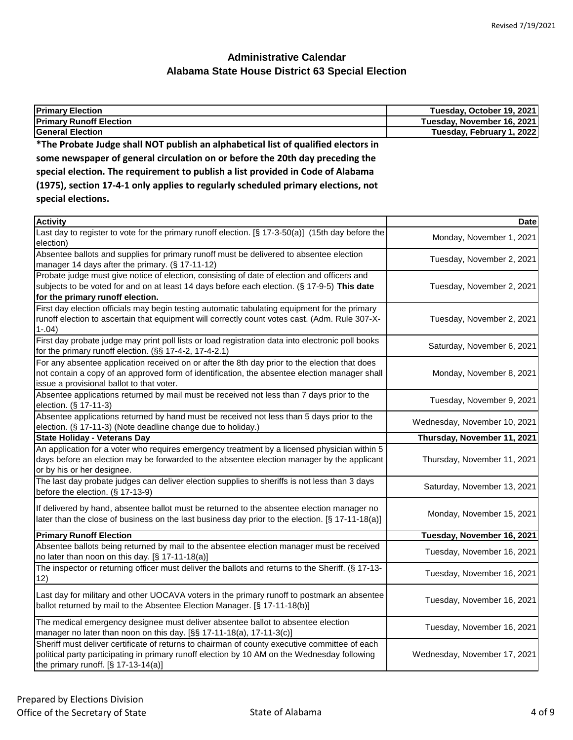| <b>Primary Election</b>                                                            | Tuesday, October 19, 2021  |
|------------------------------------------------------------------------------------|----------------------------|
| <b>Primary Runoff Election</b>                                                     | Tuesday, November 16, 2021 |
| <b>General Election</b>                                                            | Tuesday, February 1, 2022  |
| *The Probate Judge shall NOT publish an alphabetical list of qualified electors in |                            |
| some newspaper of general circulation on or before the 20th day preceding the      |                            |
| special election. The requirement to publish a list provided in Code of Alabama    |                            |
| (1975), section 17-4-1 only applies to regularly scheduled primary elections, not  |                            |
| special elections.                                                                 |                            |

| <b>Activity</b>                                                                                                                                                                                                                             | <b>Date</b>                  |
|---------------------------------------------------------------------------------------------------------------------------------------------------------------------------------------------------------------------------------------------|------------------------------|
| Last day to register to vote for the primary runoff election. [§ 17-3-50(a)] (15th day before the<br>election)                                                                                                                              | Monday, November 1, 2021     |
| Absentee ballots and supplies for primary runoff must be delivered to absentee election<br>manager 14 days after the primary. (§ 17-11-12)                                                                                                  | Tuesday, November 2, 2021    |
| Probate judge must give notice of election, consisting of date of election and officers and<br>subjects to be voted for and on at least 14 days before each election. (§ 17-9-5) This date<br>for the primary runoff election.              | Tuesday, November 2, 2021    |
| First day election officials may begin testing automatic tabulating equipment for the primary<br>runoff election to ascertain that equipment will correctly count votes cast. (Adm. Rule 307-X-<br>$1-.04)$                                 | Tuesday, November 2, 2021    |
| First day probate judge may print poll lists or load registration data into electronic poll books<br>for the primary runoff election. (§§ 17-4-2, 17-4-2.1)                                                                                 | Saturday, November 6, 2021   |
| For any absentee application received on or after the 8th day prior to the election that does<br>not contain a copy of an approved form of identification, the absentee election manager shall<br>issue a provisional ballot to that voter. | Monday, November 8, 2021     |
| Absentee applications returned by mail must be received not less than 7 days prior to the<br>election. (§ 17-11-3)                                                                                                                          | Tuesday, November 9, 2021    |
| Absentee applications returned by hand must be received not less than 5 days prior to the<br>election. (§ 17-11-3) (Note deadline change due to holiday.)                                                                                   | Wednesday, November 10, 2021 |
| <b>State Holiday - Veterans Day</b>                                                                                                                                                                                                         | Thursday, November 11, 2021  |
| An application for a voter who requires emergency treatment by a licensed physician within 5<br>days before an election may be forwarded to the absentee election manager by the applicant<br>or by his or her designee.                    | Thursday, November 11, 2021  |
| The last day probate judges can deliver election supplies to sheriffs is not less than 3 days<br>before the election. (§ 17-13-9)                                                                                                           | Saturday, November 13, 2021  |
| If delivered by hand, absentee ballot must be returned to the absentee election manager no<br>later than the close of business on the last business day prior to the election. [§ 17-11-18(a)]                                              | Monday, November 15, 2021    |
| <b>Primary Runoff Election</b>                                                                                                                                                                                                              | Tuesday, November 16, 2021   |
| Absentee ballots being returned by mail to the absentee election manager must be received<br>no later than noon on this day. [§ 17-11-18(a)]                                                                                                | Tuesday, November 16, 2021   |
| The inspector or returning officer must deliver the ballots and returns to the Sheriff. (§ 17-13-<br>12)                                                                                                                                    | Tuesday, November 16, 2021   |
| Last day for military and other UOCAVA voters in the primary runoff to postmark an absentee<br>ballot returned by mail to the Absentee Election Manager. [§ 17-11-18(b)]                                                                    | Tuesday, November 16, 2021   |
| The medical emergency designee must deliver absentee ballot to absentee election<br>manager no later than noon on this day. [§§ 17-11-18(a), 17-11-3(c)]                                                                                    | Tuesday, November 16, 2021   |
| Sheriff must deliver certificate of returns to chairman of county executive committee of each<br>political party participating in primary runoff election by 10 AM on the Wednesday following<br>the primary runoff. $[§ 17-13-14(a)]$      | Wednesday, November 17, 2021 |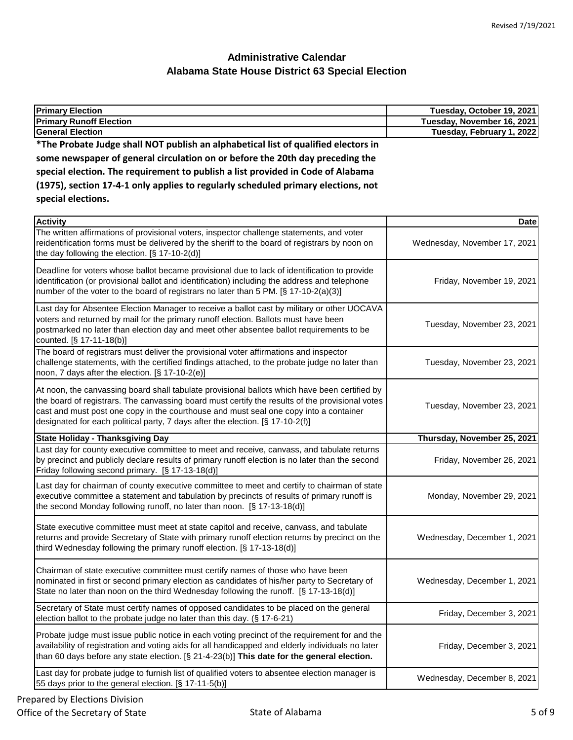| <b>Primary Election</b>                                                                                                                                                                                                                                                                                                                                                     | Tuesday, October 19, 2021    |
|-----------------------------------------------------------------------------------------------------------------------------------------------------------------------------------------------------------------------------------------------------------------------------------------------------------------------------------------------------------------------------|------------------------------|
| <b>Primary Runoff Election</b>                                                                                                                                                                                                                                                                                                                                              | Tuesday, November 16, 2021   |
| <b>General Election</b>                                                                                                                                                                                                                                                                                                                                                     | Tuesday, February 1, 2022    |
| *The Probate Judge shall NOT publish an alphabetical list of qualified electors in                                                                                                                                                                                                                                                                                          |                              |
| some newspaper of general circulation on or before the 20th day preceding the                                                                                                                                                                                                                                                                                               |                              |
| special election. The requirement to publish a list provided in Code of Alabama                                                                                                                                                                                                                                                                                             |                              |
| (1975), section 17-4-1 only applies to regularly scheduled primary elections, not                                                                                                                                                                                                                                                                                           |                              |
| special elections.                                                                                                                                                                                                                                                                                                                                                          |                              |
| <b>Activity</b>                                                                                                                                                                                                                                                                                                                                                             | <b>Date</b>                  |
| The written affirmations of provisional voters, inspector challenge statements, and voter<br>reidentification forms must be delivered by the sheriff to the board of registrars by noon on<br>the day following the election. [§ 17-10-2(d)]                                                                                                                                | Wednesday, November 17, 2021 |
| Deadline for voters whose ballot became provisional due to lack of identification to provide<br>identification (or provisional ballot and identification) including the address and telephone<br>number of the voter to the board of registrars no later than 5 PM. [§ 17-10-2(a)(3)]                                                                                       | Friday, November 19, 2021    |
| Last day for Absentee Election Manager to receive a ballot cast by military or other UOCAVA<br>voters and returned by mail for the primary runoff election. Ballots must have been<br>postmarked no later than election day and meet other absentee ballot requirements to be<br>counted. [§ 17-11-18(b)]                                                                   | Tuesday, November 23, 2021   |
| The board of registrars must deliver the provisional voter affirmations and inspector<br>challenge statements, with the certified findings attached, to the probate judge no later than<br>noon, 7 days after the election. [§ 17-10-2(e)]                                                                                                                                  | Tuesday, November 23, 2021   |
| At noon, the canvassing board shall tabulate provisional ballots which have been certified by<br>the board of registrars. The canvassing board must certify the results of the provisional votes<br>cast and must post one copy in the courthouse and must seal one copy into a container<br>designated for each political party, 7 days after the election. [§ 17-10-2(f)] | Tuesday, November 23, 2021   |

| $\alpha$ designated for each point called party, r days after the election. By The FO-2(1)                                                                                                                                                                                                       |                             |
|--------------------------------------------------------------------------------------------------------------------------------------------------------------------------------------------------------------------------------------------------------------------------------------------------|-----------------------------|
| <b>State Holiday - Thanksgiving Day</b>                                                                                                                                                                                                                                                          | Thursday, November 25, 2021 |
| Last day for county executive committee to meet and receive, canvass, and tabulate returns<br>by precinct and publicly declare results of primary runoff election is no later than the second<br>Friday following second primary. [§ 17-13-18(d)]                                                | Friday, November 26, 2021   |
| Last day for chairman of county executive committee to meet and certify to chairman of state<br>executive committee a statement and tabulation by precincts of results of primary runoff is<br>the second Monday following runoff, no later than noon. [§ 17-13-18(d)]                           | Monday, November 29, 2021   |
| State executive committee must meet at state capitol and receive, canvass, and tabulate<br>returns and provide Secretary of State with primary runoff election returns by precinct on the<br>third Wednesday following the primary runoff election. $[\S 17-13-18(d)]$                           | Wednesday, December 1, 2021 |
| Chairman of state executive committee must certify names of those who have been<br>nominated in first or second primary election as candidates of his/her party to Secretary of<br>State no later than noon on the third Wednesday following the runoff. $[\S 17 - 13 - 18(d)]$                  | Wednesday, December 1, 2021 |
| Secretary of State must certify names of opposed candidates to be placed on the general<br>election ballot to the probate judge no later than this day. (§ 17-6-21)                                                                                                                              | Friday, December 3, 2021    |
| Probate judge must issue public notice in each voting precinct of the requirement for and the<br>availability of registration and voting aids for all handicapped and elderly individuals no later<br>than 60 days before any state election. [§ 21-4-23(b)] This date for the general election. | Friday, December 3, 2021    |
| Last day for probate judge to furnish list of qualified voters to absentee election manager is<br>55 days prior to the general election. [§ 17-11-5(b)]                                                                                                                                          | Wednesday, December 8, 2021 |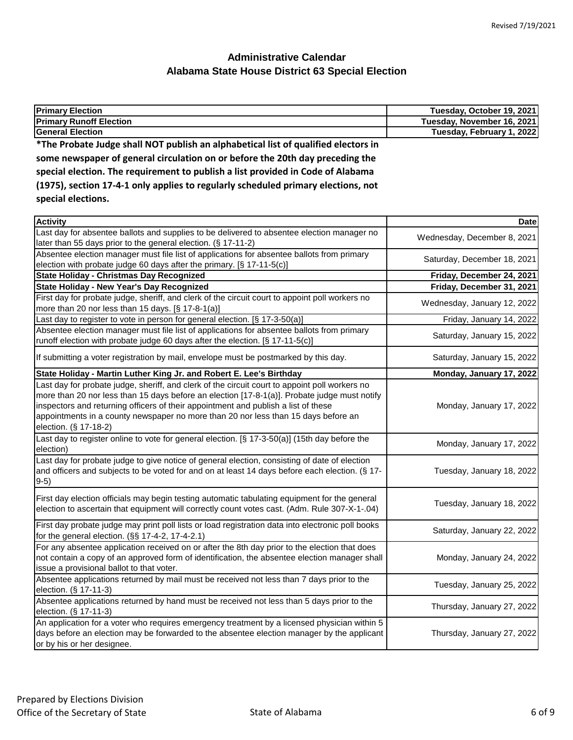| <b>Primary Election</b>                                                                                 | Tuesday, October 19, 2021  |
|---------------------------------------------------------------------------------------------------------|----------------------------|
| <b>Primary Runoff Election</b>                                                                          | Tuesday, November 16, 2021 |
| <b>General Election</b>                                                                                 | Tuesday, February 1, 2022  |
| *The Probate Judge shall NOT publish an alphabetical list of qualified electors in                      |                            |
| some newspaper of general circulation on or before the 20th day preceding the                           |                            |
| special election. The requirement to publish a list provided in Code of Alabama                         |                            |
| (1975), section 17-4-1 only applies to regularly scheduled primary elections, not<br>special elections. |                            |

| <b>Activity</b>                                                                                                                                                                                                                                                                                                                                                                                     | <b>Date</b>                 |
|-----------------------------------------------------------------------------------------------------------------------------------------------------------------------------------------------------------------------------------------------------------------------------------------------------------------------------------------------------------------------------------------------------|-----------------------------|
| Last day for absentee ballots and supplies to be delivered to absentee election manager no<br>later than 55 days prior to the general election. (§ 17-11-2)                                                                                                                                                                                                                                         | Wednesday, December 8, 2021 |
| Absentee election manager must file list of applications for absentee ballots from primary<br>election with probate judge 60 days after the primary. [§ 17-11-5(c)]                                                                                                                                                                                                                                 | Saturday, December 18, 2021 |
| State Holiday - Christmas Day Recognized                                                                                                                                                                                                                                                                                                                                                            | Friday, December 24, 2021   |
| State Holiday - New Year's Day Recognized                                                                                                                                                                                                                                                                                                                                                           | Friday, December 31, 2021   |
| First day for probate judge, sheriff, and clerk of the circuit court to appoint poll workers no<br>more than 20 nor less than 15 days. [§ 17-8-1(a)]                                                                                                                                                                                                                                                | Wednesday, January 12, 2022 |
| Last day to register to vote in person for general election. [§ 17-3-50(a)]                                                                                                                                                                                                                                                                                                                         | Friday, January 14, 2022    |
| Absentee election manager must file list of applications for absentee ballots from primary<br>runoff election with probate judge 60 days after the election. [§ 17-11-5(c)]                                                                                                                                                                                                                         | Saturday, January 15, 2022  |
| If submitting a voter registration by mail, envelope must be postmarked by this day.                                                                                                                                                                                                                                                                                                                | Saturday, January 15, 2022  |
| State Holiday - Martin Luther King Jr. and Robert E. Lee's Birthday                                                                                                                                                                                                                                                                                                                                 | Monday, January 17, 2022    |
| Last day for probate judge, sheriff, and clerk of the circuit court to appoint poll workers no<br>more than 20 nor less than 15 days before an election [17-8-1(a)]. Probate judge must notify<br>inspectors and returning officers of their appointment and publish a list of these<br>appointments in a county newspaper no more than 20 nor less than 15 days before an<br>election. (§ 17-18-2) | Monday, January 17, 2022    |
| Last day to register online to vote for general election. [§ 17-3-50(a)] (15th day before the<br>election)                                                                                                                                                                                                                                                                                          | Monday, January 17, 2022    |
| Last day for probate judge to give notice of general election, consisting of date of election<br>and officers and subjects to be voted for and on at least 14 days before each election. (§ 17-<br>$9-5)$                                                                                                                                                                                           | Tuesday, January 18, 2022   |
| First day election officials may begin testing automatic tabulating equipment for the general<br>election to ascertain that equipment will correctly count votes cast. (Adm. Rule 307-X-1-.04)                                                                                                                                                                                                      | Tuesday, January 18, 2022   |
| First day probate judge may print poll lists or load registration data into electronic poll books<br>for the general election. (§§ 17-4-2, 17-4-2.1)                                                                                                                                                                                                                                                | Saturday, January 22, 2022  |
| For any absentee application received on or after the 8th day prior to the election that does<br>not contain a copy of an approved form of identification, the absentee election manager shall<br>issue a provisional ballot to that voter.                                                                                                                                                         | Monday, January 24, 2022    |
| Absentee applications returned by mail must be received not less than 7 days prior to the<br>election. (§ 17-11-3)                                                                                                                                                                                                                                                                                  | Tuesday, January 25, 2022   |
| Absentee applications returned by hand must be received not less than 5 days prior to the<br>election. (§ 17-11-3)                                                                                                                                                                                                                                                                                  | Thursday, January 27, 2022  |
| An application for a voter who requires emergency treatment by a licensed physician within 5<br>days before an election may be forwarded to the absentee election manager by the applicant<br>or by his or her designee.                                                                                                                                                                            | Thursday, January 27, 2022  |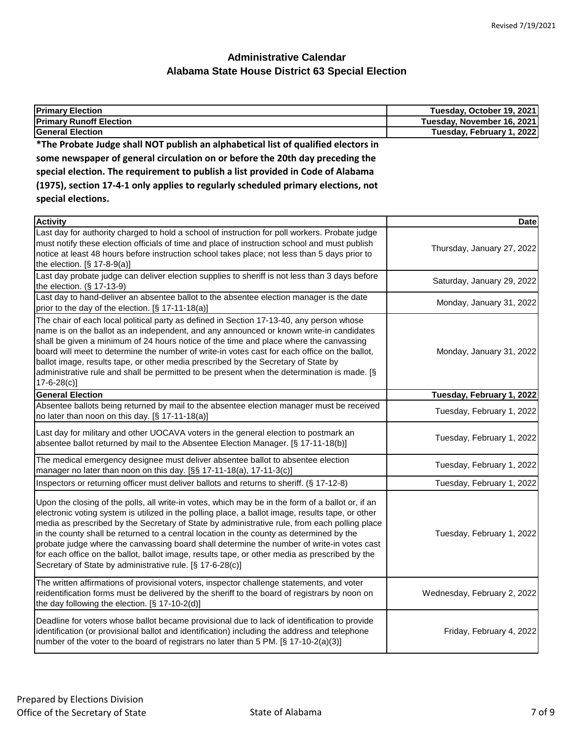| <b>Primary Election</b>                                                            | Tuesday, October 19, 2021  |
|------------------------------------------------------------------------------------|----------------------------|
| <b>Primary Runoff Election</b>                                                     | Tuesday, November 16, 2021 |
| General Election                                                                   | Tuesday, February 1, 2022  |
| *The Probate Judge shall NOT publish an alphabetical list of qualified electors in |                            |
| some newspaper of general circulation on or before the 20th day preceding the      |                            |
| special election. The requirement to publish a list provided in Code of Alabama    |                            |
| (1975), section 17-4-1 only applies to regularly scheduled primary elections, not  |                            |
| special elections.                                                                 |                            |
| المتستنقط                                                                          | <b>Datal</b>               |

| <b>Activity</b>                                                                                                                                                                                                                                                                                                                                                                                                                                                                                                                                                                                                                                                  | <b>Date</b>                 |
|------------------------------------------------------------------------------------------------------------------------------------------------------------------------------------------------------------------------------------------------------------------------------------------------------------------------------------------------------------------------------------------------------------------------------------------------------------------------------------------------------------------------------------------------------------------------------------------------------------------------------------------------------------------|-----------------------------|
| Last day for authority charged to hold a school of instruction for poll workers. Probate judge<br>must notify these election officials of time and place of instruction school and must publish<br>notice at least 48 hours before instruction school takes place; not less than 5 days prior to<br>the election. [§ 17-8-9(a)]                                                                                                                                                                                                                                                                                                                                  | Thursday, January 27, 2022  |
| Last day probate judge can deliver election supplies to sheriff is not less than 3 days before<br>the election. $(\S 17-13-9)$                                                                                                                                                                                                                                                                                                                                                                                                                                                                                                                                   | Saturday, January 29, 2022  |
| Last day to hand-deliver an absentee ballot to the absentee election manager is the date<br>prior to the day of the election. [§ 17-11-18(a)]                                                                                                                                                                                                                                                                                                                                                                                                                                                                                                                    | Monday, January 31, 2022    |
| The chair of each local political party as defined in Section 17-13-40, any person whose<br>name is on the ballot as an independent, and any announced or known write-in candidates<br>shall be given a minimum of 24 hours notice of the time and place where the canvassing<br>board will meet to determine the number of write-in votes cast for each office on the ballot,<br>ballot image, results tape, or other media prescribed by the Secretary of State by<br>administrative rule and shall be permitted to be present when the determination is made. [§<br>$17 - 6 - 28(c)$                                                                          | Monday, January 31, 2022    |
| <b>General Election</b>                                                                                                                                                                                                                                                                                                                                                                                                                                                                                                                                                                                                                                          | Tuesday, February 1, 2022   |
| Absentee ballots being returned by mail to the absentee election manager must be received<br>no later than noon on this day. [§ 17-11-18(a)]                                                                                                                                                                                                                                                                                                                                                                                                                                                                                                                     | Tuesday, February 1, 2022   |
| Last day for military and other UOCAVA voters in the general election to postmark an<br>absentee ballot returned by mail to the Absentee Election Manager. [§ 17-11-18(b)]                                                                                                                                                                                                                                                                                                                                                                                                                                                                                       | Tuesday, February 1, 2022   |
| The medical emergency designee must deliver absentee ballot to absentee election<br>manager no later than noon on this day. [§§ 17-11-18(a), 17-11-3(c)]                                                                                                                                                                                                                                                                                                                                                                                                                                                                                                         | Tuesday, February 1, 2022   |
| Inspectors or returning officer must deliver ballots and returns to sheriff. (§ 17-12-8)                                                                                                                                                                                                                                                                                                                                                                                                                                                                                                                                                                         | Tuesday, February 1, 2022   |
| Upon the closing of the polls, all write-in votes, which may be in the form of a ballot or, if an<br>electronic voting system is utilized in the polling place, a ballot image, results tape, or other<br>media as prescribed by the Secretary of State by administrative rule, from each polling place<br>in the county shall be returned to a central location in the county as determined by the<br>probate judge where the canvassing board shall determine the number of write-in votes cast<br>for each office on the ballot, ballot image, results tape, or other media as prescribed by the<br>Secretary of State by administrative rule. [§ 17-6-28(c)] | Tuesday, February 1, 2022   |
| The written affirmations of provisional voters, inspector challenge statements, and voter<br>reidentification forms must be delivered by the sheriff to the board of registrars by noon on<br>the day following the election. [§ 17-10-2(d)]                                                                                                                                                                                                                                                                                                                                                                                                                     | Wednesday, February 2, 2022 |
| Deadline for voters whose ballot became provisional due to lack of identification to provide<br>identification (or provisional ballot and identification) including the address and telephone<br>number of the voter to the board of registrars no later than 5 PM. [§ 17-10-2(a)(3)]                                                                                                                                                                                                                                                                                                                                                                            | Friday, February 4, 2022    |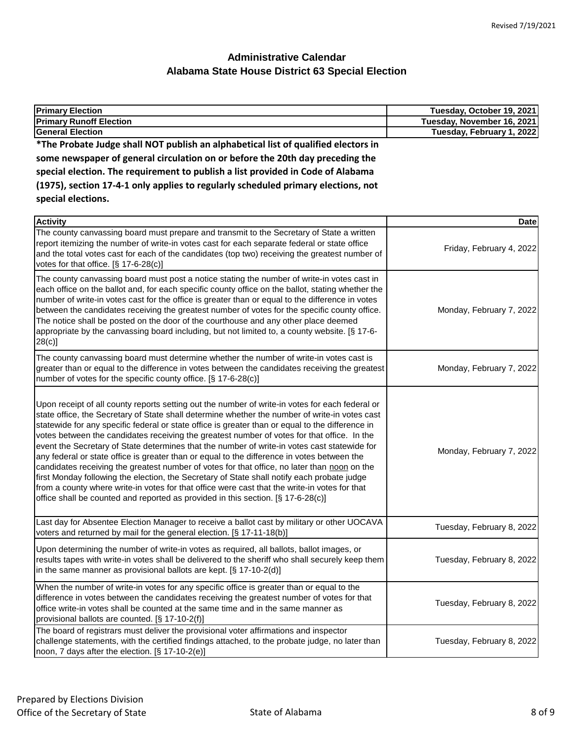| <b>Primary Election</b>                                                                                                                                                                     | Tuesday, October 19, 2021  |
|---------------------------------------------------------------------------------------------------------------------------------------------------------------------------------------------|----------------------------|
| <b>Primary Runoff Election</b>                                                                                                                                                              | Tuesday, November 16, 2021 |
| <b>General Election</b>                                                                                                                                                                     | Tuesday, February 1, 2022  |
| *The Probate Judge shall NOT publish an alphabetical list of qualified electors in                                                                                                          |                            |
| some newspaper of general circulation on or before the 20th day preceding the                                                                                                               |                            |
| special election. The requirement to publish a list provided in Code of Alabama                                                                                                             |                            |
| (1975), section 17-4-1 only applies to regularly scheduled primary elections, not                                                                                                           |                            |
| special elections.                                                                                                                                                                          |                            |
|                                                                                                                                                                                             |                            |
| <b>Activity</b><br>The county canvassing board must prepare and transmit to the Secretary of State a written                                                                                | Date                       |
| report itemizing the number of write-in votes cast for each separate federal or state office                                                                                                |                            |
| and the total votes cast for each of the candidates (top two) receiving the greatest number of                                                                                              | Friday, February 4, 2022   |
| votes for that office. [§ 17-6-28(c)]                                                                                                                                                       |                            |
| The county canvassing board must post a notice stating the number of write-in votes cast in                                                                                                 |                            |
| each office on the ballot and, for each specific county office on the ballot, stating whether the                                                                                           |                            |
| number of write-in votes cast for the office is greater than or equal to the difference in votes                                                                                            |                            |
| between the candidates receiving the greatest number of votes for the specific county office.                                                                                               | Monday, February 7, 2022   |
| The notice shall be posted on the door of the courthouse and any other place deemed                                                                                                         |                            |
| appropriate by the canvassing board including, but not limited to, a county website. [§ 17-6-<br>28(c)                                                                                      |                            |
|                                                                                                                                                                                             |                            |
| The county canvassing board must determine whether the number of write-in votes cast is<br>greater than or equal to the difference in votes between the candidates receiving the greatest   | Monday, February 7, 2022   |
| number of votes for the specific county office. [§ 17-6-28(c)]                                                                                                                              |                            |
|                                                                                                                                                                                             |                            |
| Upon receipt of all county reports setting out the number of write-in votes for each federal or                                                                                             |                            |
| state office, the Secretary of State shall determine whether the number of write-in votes cast                                                                                              |                            |
| statewide for any specific federal or state office is greater than or equal to the difference in                                                                                            |                            |
| votes between the candidates receiving the greatest number of votes for that office. In the                                                                                                 |                            |
| event the Secretary of State determines that the number of write-in votes cast statewide for                                                                                                | Monday, February 7, 2022   |
| any federal or state office is greater than or equal to the difference in votes between the                                                                                                 |                            |
| candidates receiving the greatest number of votes for that office, no later than noon on the<br>first Monday following the election, the Secretary of State shall notify each probate judge |                            |
| from a county where write-in votes for that office were cast that the write-in votes for that                                                                                               |                            |
| office shall be counted and reported as provided in this section. [§ 17-6-28(c)]                                                                                                            |                            |
|                                                                                                                                                                                             |                            |
| Last day for Absentee Election Manager to receive a ballot cast by military or other UOCAVA                                                                                                 | Tuesday, February 8, 2022  |
| voters and returned by mail for the general election. [§ 17-11-18(b)]                                                                                                                       |                            |
| Upon determining the number of write-in votes as required, all ballots, ballot images, or                                                                                                   |                            |
| results tapes with write-in votes shall be delivered to the sheriff who shall securely keep them                                                                                            | Tuesday, February 8, 2022  |
| in the same manner as provisional ballots are kept. [§ 17-10-2(d)]                                                                                                                          |                            |
| When the number of write-in votes for any specific office is greater than or equal to the                                                                                                   |                            |
| difference in votes between the candidates receiving the greatest number of votes for that                                                                                                  | Tuesday, February 8, 2022  |